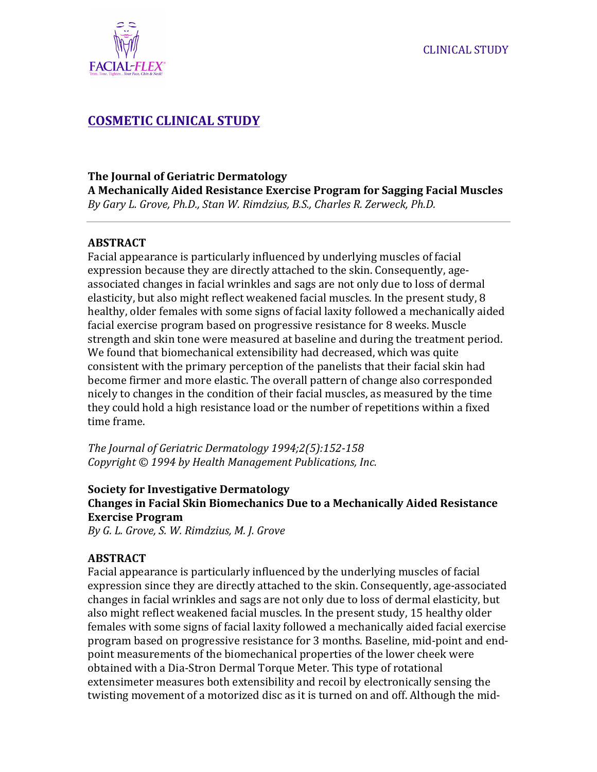

# **COSMETIC CLINICAL STUDY**

### **The Journal of Geriatric Dermatology**

**A Mechanically Aided Resistance Exercise Program for Sagging Facial Muscles** *By Gary L. Grove, Ph.D., Stan W. Rimdzius, B.S., Charles R. Zerweck, Ph.D.*

### **ABSTRACT**

Facial appearance is particularly influenced by underlying muscles of facial expression because they are directly attached to the skin. Consequently, ageassociated changes in facial wrinkles and sags are not only due to loss of dermal elasticity, but also might reflect weakened facial muscles. In the present study, 8 healthy, older females with some signs of facial laxity followed a mechanically aided facial exercise program based on progressive resistance for 8 weeks. Muscle strength and skin tone were measured at baseline and during the treatment period. We found that biomechanical extensibility had decreased, which was quite consistent with the primary perception of the panelists that their facial skin had become firmer and more elastic. The overall pattern of change also corresponded nicely to changes in the condition of their facial muscles, as measured by the time they could hold a high resistance load or the number of repetitions within a fixed time frame.

*The Journal of Geriatric Dermatology* 1994;2(5):152-158 *Copyright*  $\odot$  1994 by Health Management Publications, Inc.

# **Society for Investigative Dermatology Changes in Facial Skin Biomechanics Due to a Mechanically Aided Resistance Exercise Program**

*By G. L. Grove, S. W. Rimdzius, M. J. Grove*

# **ABSTRACT**

Facial appearance is particularly influenced by the underlying muscles of facial expression since they are directly attached to the skin. Consequently, age-associated changes in facial wrinkles and sags are not only due to loss of dermal elasticity, but also might reflect weakened facial muscles. In the present study, 15 healthy older females with some signs of facial laxity followed a mechanically aided facial exercise program based on progressive resistance for 3 months. Baseline, mid-point and endpoint measurements of the biomechanical properties of the lower cheek were obtained with a Dia-Stron Dermal Torque Meter. This type of rotational extensimeter measures both extensibility and recoil by electronically sensing the twisting movement of a motorized disc as it is turned on and off. Although the mid-